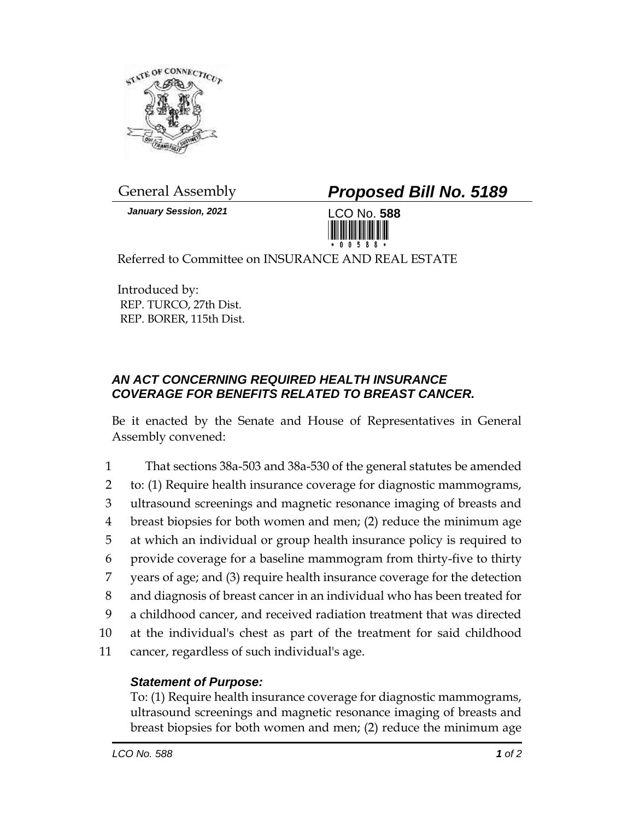

*January Session, 2021* LCO No. **588**

General Assembly *Proposed Bill No. 5189*



Referred to Committee on INSURANCE AND REAL ESTATE

Introduced by: REP. TURCO, 27th Dist. REP. BORER, 115th Dist.

## *AN ACT CONCERNING REQUIRED HEALTH INSURANCE COVERAGE FOR BENEFITS RELATED TO BREAST CANCER.*

Be it enacted by the Senate and House of Representatives in General Assembly convened:

|    | That sections 38a-503 and 38a-530 of the general statutes be amended      |
|----|---------------------------------------------------------------------------|
| 2  | to: (1) Require health insurance coverage for diagnostic mammograms,      |
| 3  | ultrasound screenings and magnetic resonance imaging of breasts and       |
| 4  | breast biopsies for both women and men; (2) reduce the minimum age        |
| 5  | at which an individual or group health insurance policy is required to    |
| 6  | provide coverage for a baseline mammogram from thirty-five to thirty      |
| 7  | years of age; and (3) require health insurance coverage for the detection |
| 8  | and diagnosis of breast cancer in an individual who has been treated for  |
| 9  | a childhood cancer, and received radiation treatment that was directed    |
| 10 | at the individual's chest as part of the treatment for said childhood     |
| 11 | cancer, regardless of such individual's age.                              |

## *Statement of Purpose:*

To: (1) Require health insurance coverage for diagnostic mammograms, ultrasound screenings and magnetic resonance imaging of breasts and breast biopsies for both women and men; (2) reduce the minimum age